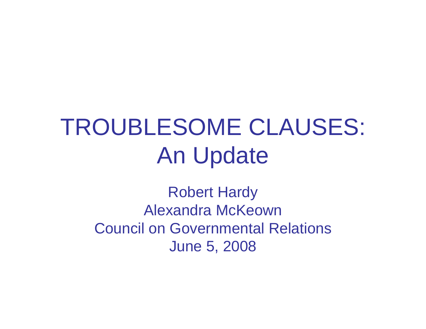# TROUBLESOME CLAUSES: An Update

Robert Hardy Alexandra McKeownCouncil on Governmental Relations June 5, 2008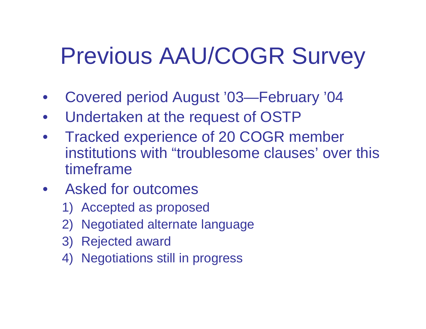# Previous AAU/COGR Survey

- $\bullet$ Covered period August '03—February '04
- $\bullet$ Undertaken at the request of OSTP
- $\bullet$  Tracked experience of 20 COGR member institutions with "troublesome clauses' over this timeframe
- Asked for outcomes
	- 1) Accepted as proposed
	- 2) Negotiated alternate language
	- 3) Rejected award
	- 4) Negotiations still in progress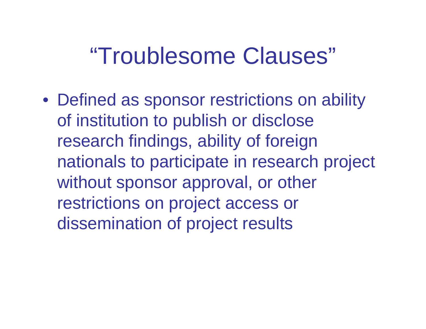#### "Troublesome Clauses"

• Defined as sponsor restrictions on ability of institution to publish or disclose research findings, ability of foreign nationals to participate in research project without sponsor approval, or other restrictions on project access or dissemination of project results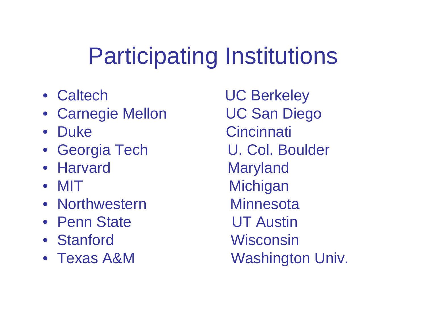# Participating Institutions

- Caltech
- Carnegie Mellon buc San Diego
- Duke
- Georgia Tech U. Col. Boulder
- Harvard
- MIT
- Northwestern Minnesota
- Penn State by UT Austin
- Stanford
- Texas A&M

**UC Berkeley** Cincinnati Maryland Michigan Wisconsin Washington Univ.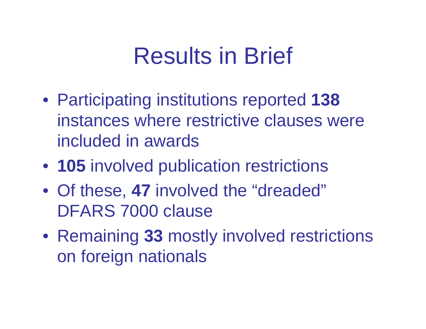## Results in Brief

- Participating institutions reported **138** instances where restrictive clauses were included in awards
- **105** involved publication restrictions
- Of these, **47** involved the "dreaded" DFARS 7000 clause
- Remaining **33** mostly involved restrictions on foreign nationals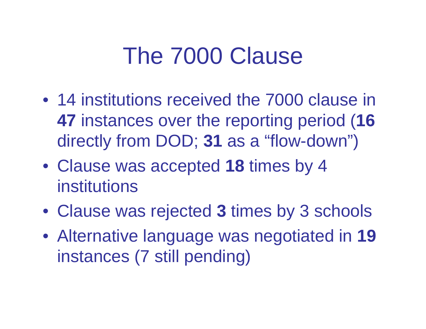## The 7000 Clause

- 14 institutions received the 7000 clause in **47** instances over the reporting period (**16**  directly from DOD; **31** as a "flow-down")
- Clause was accepted **18** times by 4 institutions
- Clause was rejected **3** times by 3 schools
- Alternative language was negotiated in **19** instances (7 still pending)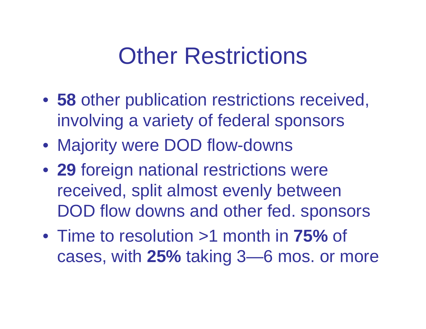## **Other Restrictions**

- **58** other publication restrictions received, involving a variety of federal sponsors
- Majority were DOD flow-downs
- **29** foreign national restrictions were received, split almost evenly between DOD flow downs and other fed. sponsors
- Time to resolution >1 month in **75%** of cases, with **25%** taking 3—6 mos. or more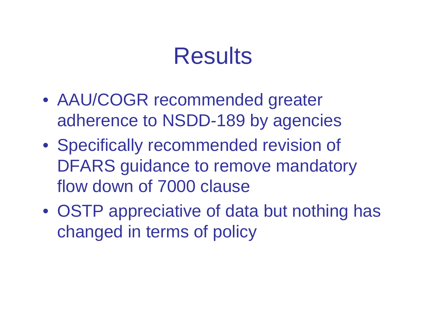## Results

- AAU/COGR recommended greater adherence to NSDD-189 by agencies
- Specifically recommended revision of DFARS guidance to remove mandatory flow down of 7000 clause
- OSTP appreciative of data but nothing has changed in terms of policy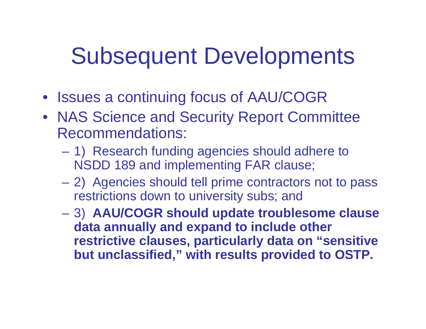## Subsequent Developments

- Issues a continuing focus of AAU/COGR
- NAS Science and Security Report Committee Recommendations:
	- – 1) Research funding agencies should adhere to NSDD 189 and implementing FAR clause;
	- 2) Agencies should tell prime contractors not to pass restrictions down to university subs; and
	- 3) **AAU/COGR should update troublesome clause data annually and expand to include other restrictive clauses, particularly data on "sensitive but unclassified," with results provided to OSTP.**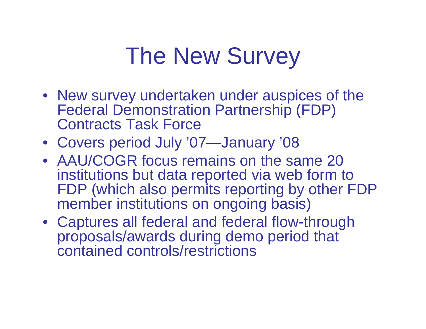## The New Survey

- New survey undertaken under auspices of the Federal Demonstration Partnership (FDP) Contracts Task Force
- Covers period July '07—January '08
- AAU/COGR focus remains on the same 20 institutions but data reported via web form to FDP (which also permits reporting by other FDP member institutions on ongoing basis)
- Captures all federal and federal flow-through proposals/awards during demo period that contained controls/restrictions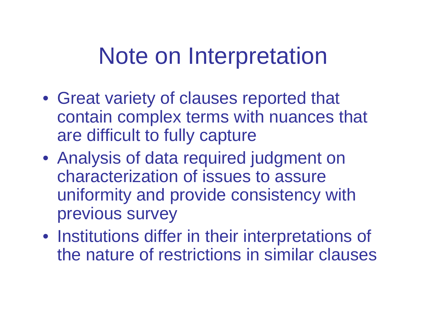#### Note on Interpretation

- Great variety of clauses reported that contain complex terms with nuances that are difficult to fully capture
- Analysis of data required judgment on characterization of issues to assure uniformity and provide consistency with previous survey
- Institutions differ in their interpretations of the nature of restrictions in similar clauses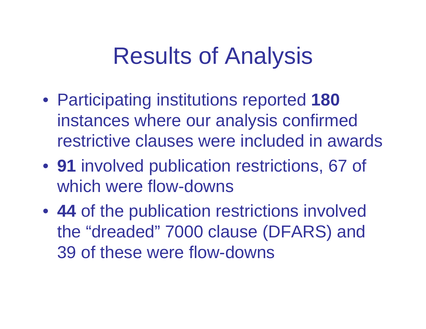## Results of Analysis

- Participating institutions reported **180**  instances where our analysis confirmed restrictive clauses were included in awards
- **91** involved publication restrictions, 67 of which were flow-downs
- **44** of the publication restrictions involved the "dreaded" 7000 clause (DFARS) and 39 of these were flow-downs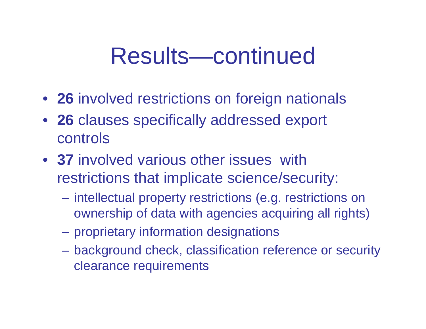#### Results—continued

- **26** involved restrictions on foreign nationals
- **26** clauses specifically addressed export controls
- **37** involved various other issues with restrictions that implicate science/security:
	- intellectual property restrictions (e.g. restrictions on ownership of data with agencies acquiring all rights)
	- proprietary information designations
	- background check, classification reference or security clearance requirements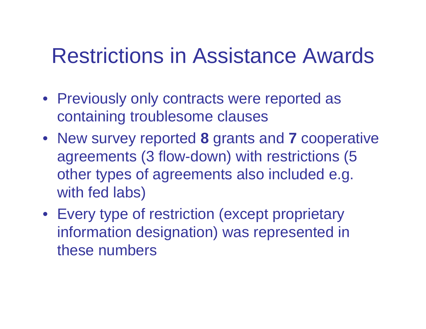#### Restrictions in Assistance Awards

- Previously only contracts were reported as containing troublesome clauses
- New survey reported **8** grants and **7** cooperative agreements (3 flow-down) with restrictions (5 other types of agreements also included e.g. with fed labs)
- Every type of restriction (except proprietary information designation) was represented in these numbers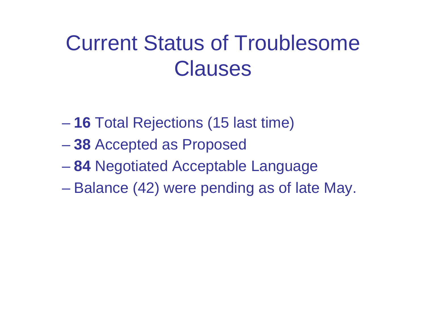#### Current Status of Troublesome **Clauses**

- **16** Total Rejections (15 last time)
- **38** Accepted as Proposed
- **84** Negotiated Acceptable Language
- Balance (42) were pending as of late May.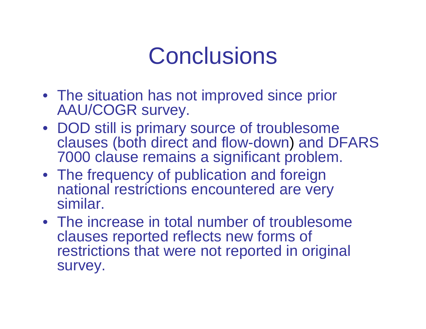## **Conclusions**

- The situation has not improved since prior AAU/COGR survey.
- DOD still is primary source of troublesome clauses (both direct and flow-down) and DFARS 7000 clause remains a significant problem.
- The frequency of publication and foreign national restrictions encountered are very similar.
- The increase in total number of troublesome clauses reported reflects new forms of restrictions that were not reported in original survey.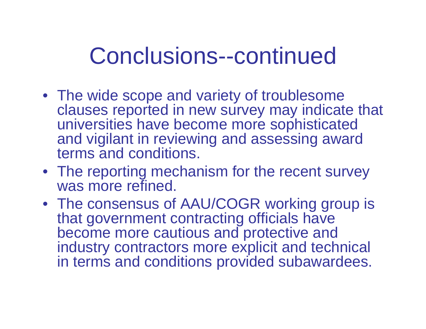## Conclusions--continued

- The wide scope and variety of troublesome clauses reported in new survey may indicate that universities have become more sophisticated and vigilant in reviewing and assessing award terms and conditions.
- The reporting mechanism for the recent survey was more refined.
- The consensus of AAU/COGR working group is that government contracting officials have become more cautious and protective and industry contractors more explicit and technical in terms and conditions provided subawardees.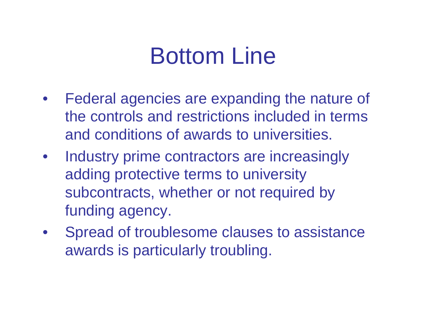## Bottom Line

- $\bullet$  Federal agencies are expanding the nature of the controls and restrictions included in terms and conditions of awards to universities.
- Industry prime contractors are increasingly adding protective terms to university subcontracts, whether or not required by funding agency.
- Spread of troublesome clauses to assistance awards is particularly troubling.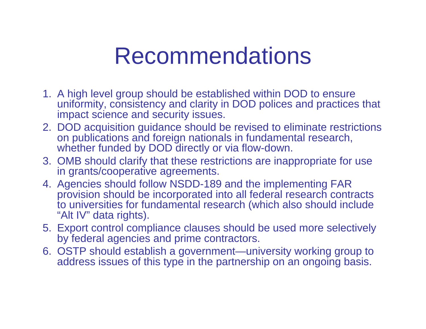#### Recommendations

- 1. A high level group should be established within DOD to ensure uniformity, consistency and clarity in DOD polices and practices that impact science and security issues.
- 2. DOD acquisition guidance should be revised to eliminate restrictions on publications and foreign nationals in fundamental research, whether funded by DOD directly or via flow-down.
- 3. OMB should clarify that these restrictions are inappropriate for use in grants/cooperative agreements.
- 4. Agencies should follow NSDD-189 and the implementing FAR provision should be incorporated into all federal research contracts to universities for fundamental research (which also should include "Alt IV" data rights).
- 5. Export control compliance clauses should be used more selectively by federal agencies and prime contractors.
- 6. OSTP should establish a government—university working group to address issues of this type in the partnership on an ongoing basis.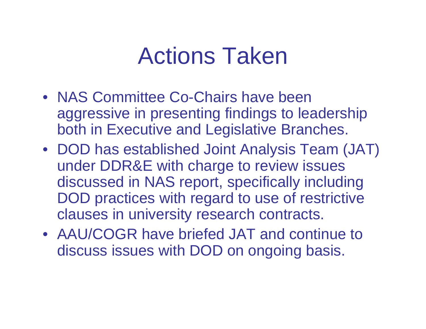#### Actions Taken

- NAS Committee Co-Chairs have been aggressive in presenting findings to leadership both in Executive and Legislative Branches.
- DOD has established Joint Analysis Team (JAT) under DDR&E with charge to review issues discussed in NAS report, specifically including DOD practices with regard to use of restrictive clauses in university research contracts.
- AAU/COGR have briefed JAT and continue to discuss issues with DOD on ongoing basis.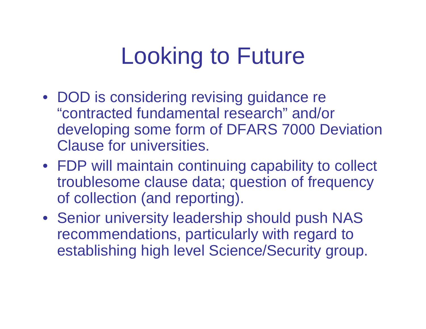# Looking to Future

- DOD is considering revising guidance re "contracted fundamental research" and/or developing some form of DFARS 7000 Deviation Clause for universities.
- FDP will maintain continuing capability to collect troublesome clause data; question of frequency of collection (and reporting).
- Senior university leadership should push NAS recommendations, particularly with regard to establishing high level Science/Security group.